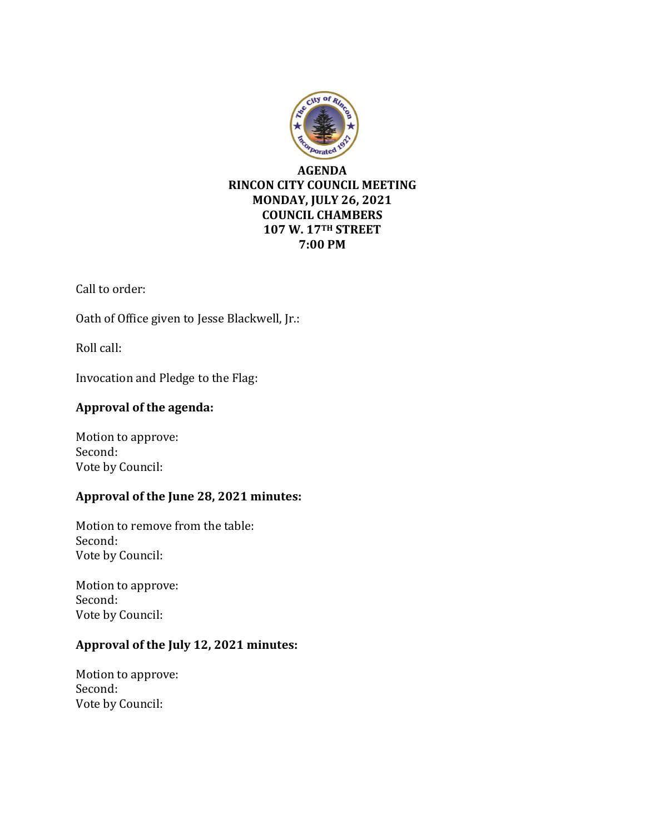

Call to order:

Oath of Office given to Jesse Blackwell, Jr.:

Roll call:

Invocation and Pledge to the Flag:

## **Approval of the agenda:**

Motion to approve: Second: Vote by Council:

## **Approval of the June 28, 2021 minutes:**

Motion to remove from the table: Second: Vote by Council:

Motion to approve: Second: Vote by Council:

# **Approval of the July 12, 2021 minutes:**

Motion to approve: Second: Vote by Council: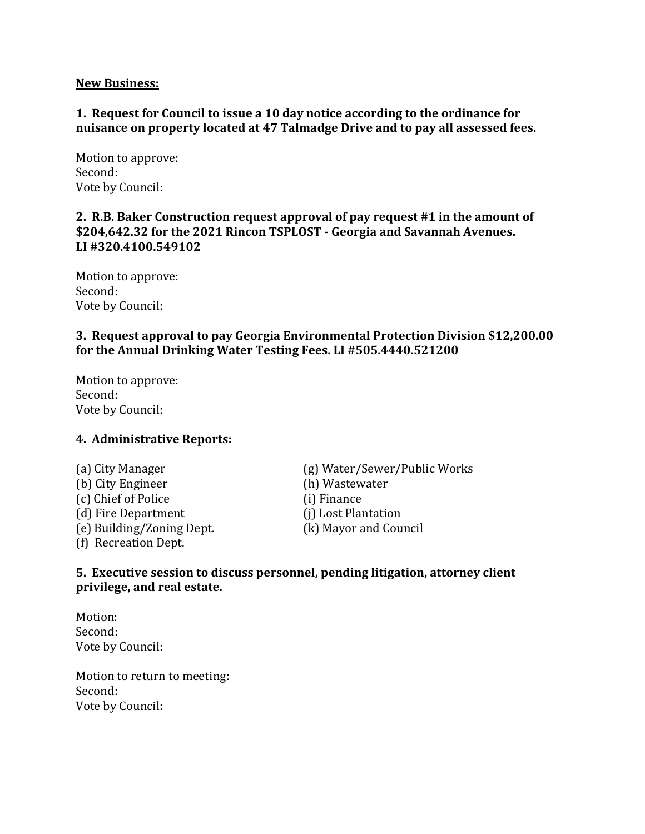#### **New Business:**

### **1. Request for Council to issue a 10 day notice according to the ordinance for nuisance on property located at 47 Talmadge Drive and to pay all assessed fees.**

Motion to approve: Second: Vote by Council:

### **2. R.B. Baker Construction request approval of pay request #1 in the amount of \$204,642.32 for the 2021 Rincon TSPLOST - Georgia and Savannah Avenues. LI #320.4100.549102**

Motion to approve: Second: Vote by Council:

#### **3. Request approval to pay Georgia Environmental Protection Division \$12,200.00 for the Annual Drinking Water Testing Fees. LI #505.4440.521200**

Motion to approve: Second: Vote by Council:

#### **4. Administrative Reports:**

- (b) City Engineer (h) Wastewater (c) Chief of Police (i) Finance (d) Fire Department (j) Lost Plantation (e) Building/Zoning Dept. (k) Mayor and Council (f) Recreation Dept.
- (a) City Manager (g) Water/Sewer/Public Works

#### **5. Executive session to discuss personnel, pending litigation, attorney client privilege, and real estate.**

Motion: Second: Vote by Council:

Motion to return to meeting: Second: Vote by Council: